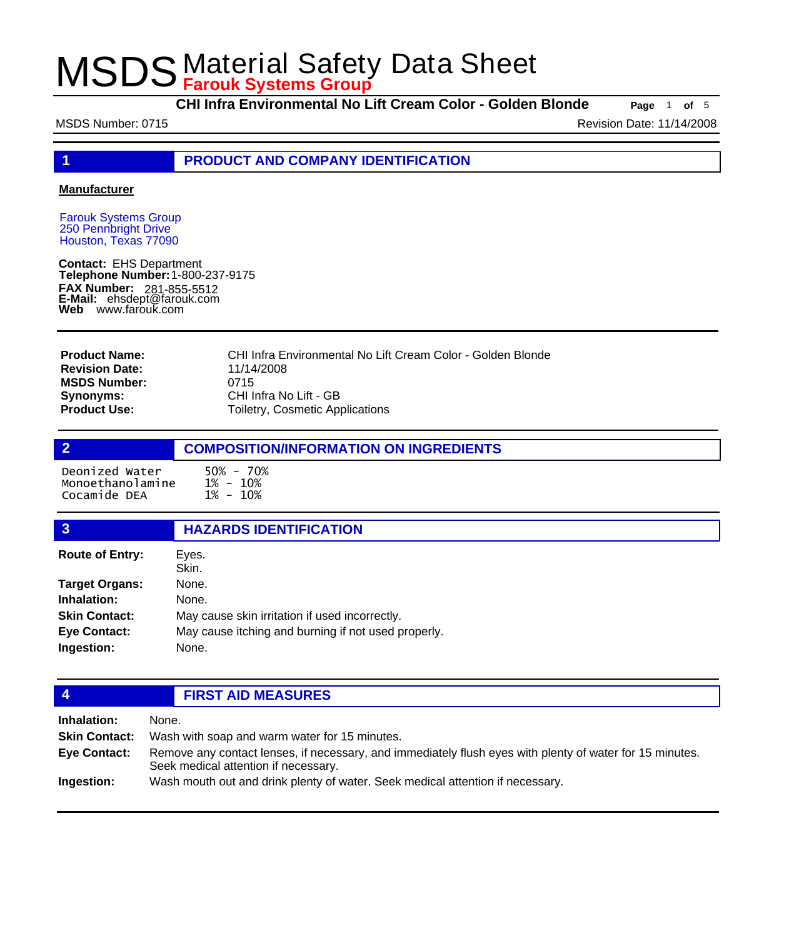**CHI Infra Environmental No Lift Cream Color - Golden Blonde Page** <sup>1</sup> **of** <sup>5</sup>

MSDS Number: 0715 **Revision Date: 11/14/2008** Revision Date: 11/14/2008

**1 PRODUCT AND COMPANY IDENTIFICATION**

#### **Manufacturer**

Farouk Systems Group 250 Pennbright Drive Houston, Texas 77090

**Contact:** EHS Department **Telephone Number:** 1-800-237-9175 **FAX Number: FAX Number:** 281-855-5512<br>**E-Mail:** ehsdept@farouk.com **Web** www.farouk.com

CHI Infra Environmental No Lift Cream Color - Golden Blonde 11/14/2008 0715 CHI Infra No Lift - GB Toiletry, Cosmetic Applications **Product Name: Revision Date: MSDS Number: Synonyms: Product Use:**

### **2 COMPOSITION/INFORMATION ON INGREDIENTS** Deonized Water 50% - 70% Monoethanolamine Cocamide DEA

| 3                      | <b>HAZARDS IDENTIFICATION</b>                       |  |
|------------------------|-----------------------------------------------------|--|
| <b>Route of Entry:</b> | Eyes.<br>Skin.                                      |  |
| <b>Target Organs:</b>  | None.                                               |  |
| Inhalation:            | None.                                               |  |
| <b>Skin Contact:</b>   | May cause skin irritation if used incorrectly.      |  |
| <b>Eye Contact:</b>    | May cause itching and burning if not used properly. |  |
| Ingestion:             | None.                                               |  |
|                        |                                                     |  |

### **4 FIRST AID MEASURES**

| Inhalation:          | None.                                                                                                                                            |  |  |
|----------------------|--------------------------------------------------------------------------------------------------------------------------------------------------|--|--|
| <b>Skin Contact:</b> | Wash with soap and warm water for 15 minutes.                                                                                                    |  |  |
| Eye Contact:         | Remove any contact lenses, if necessary, and immediately flush eyes with plenty of water for 15 minutes.<br>Seek medical attention if necessary. |  |  |
| Ingestion:           | Wash mouth out and drink plenty of water. Seek medical attention if necessary.                                                                   |  |  |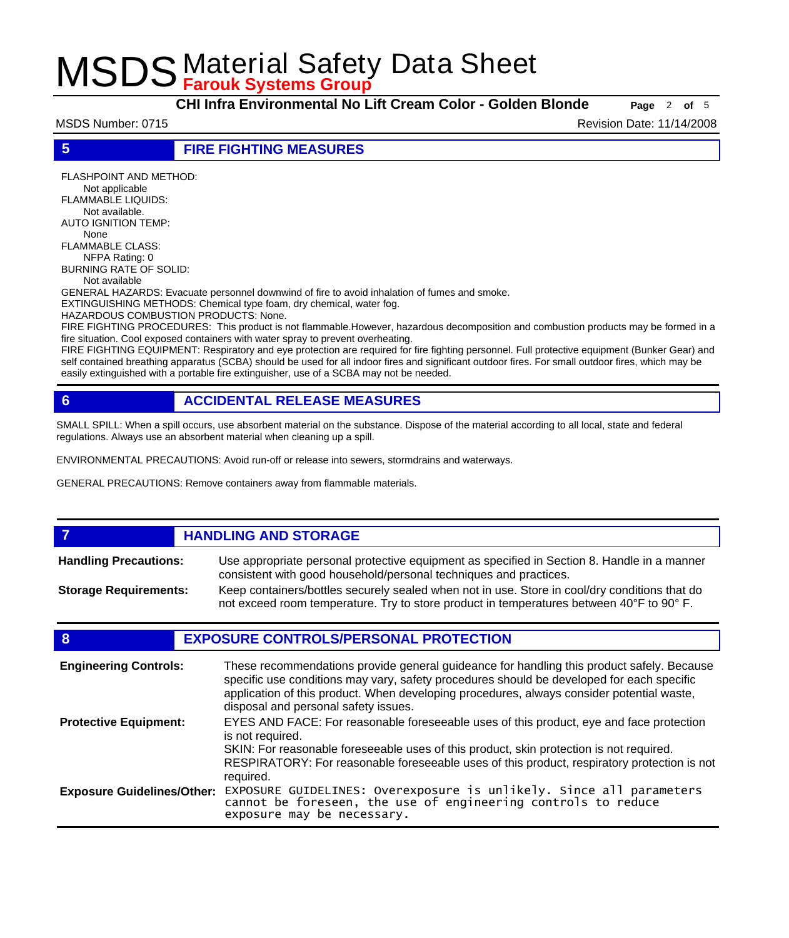**CHI Infra Environmental No Lift Cream Color - Golden Blonde Page** <sup>2</sup> **of** <sup>5</sup>

MSDS Number: 0715 **Revision Date: 11/14/2008** 

**5 FIRE FIGHTING MEASURES**

FLASHPOINT AND METHOD: Not applicable FLAMMABLE LIQUIDS: Not available. AUTO IGNITION TEMP: None FLAMMABLE CLASS: NFPA Rating: 0 BURNING RATE OF SOLID: Not available GENERAL HAZARDS: Evacuate personnel downwind of fire to avoid inhalation of fumes and smoke. EXTINGUISHING METHODS: Chemical type foam, dry chemical, water fog. HAZARDOUS COMBUSTION PRODUCTS: None. FIRE FIGHTING PROCEDURES: This product is not flammable.However, hazardous decomposition and combustion products may be formed in a fire situation. Cool exposed containers with water spray to prevent overheating.

FIRE FIGHTING EQUIPMENT: Respiratory and eye protection are required for fire fighting personnel. Full protective equipment (Bunker Gear) and self contained breathing apparatus (SCBA) should be used for all indoor fires and significant outdoor fires. For small outdoor fires, which may be easily extinguished with a portable fire extinguisher, use of a SCBA may not be needed.

### **6 ACCIDENTAL RELEASE MEASURES**

SMALL SPILL: When a spill occurs, use absorbent material on the substance. Dispose of the material according to all local, state and federal regulations. Always use an absorbent material when cleaning up a spill.

ENVIRONMENTAL PRECAUTIONS: Avoid run-off or release into sewers, stormdrains and waterways.

GENERAL PRECAUTIONS: Remove containers away from flammable materials.

#### *HANDLING AND STORAGE* Use appropriate personal protective equipment as specified in Section 8. Handle in a manner consistent with good household/personal techniques and practices. **Handling Precautions:** Keep containers/bottles securely sealed when not in use. Store in cool/dry conditions that do not exceed room temperature. Try to store product in temperatures between 40°F to 90° F. **Storage Requirements:**

### **8 EXPOSURE CONTROLS/PERSONAL PROTECTION**

| <b>Engineering Controls:</b>      | These recommendations provide general guideance for handling this product safely. Because<br>specific use conditions may vary, safety procedures should be developed for each specific<br>application of this product. When developing procedures, always consider potential waste,<br>disposal and personal safety issues. |
|-----------------------------------|-----------------------------------------------------------------------------------------------------------------------------------------------------------------------------------------------------------------------------------------------------------------------------------------------------------------------------|
| <b>Protective Equipment:</b>      | EYES AND FACE: For reasonable foreseeable uses of this product, eye and face protection<br>is not required.<br>SKIN: For reasonable foreseeable uses of this product, skin protection is not required.<br>RESPIRATORY: For reasonable foreseeable uses of this product, respiratory protection is not<br>required.          |
| <b>Exposure Guidelines/Other:</b> | EXPOSURE GUIDELINES: Overexposure is unlikely. Since all parameters cannot be foreseen, the use of engineering controls to reduce<br>exposure may be necessary.                                                                                                                                                             |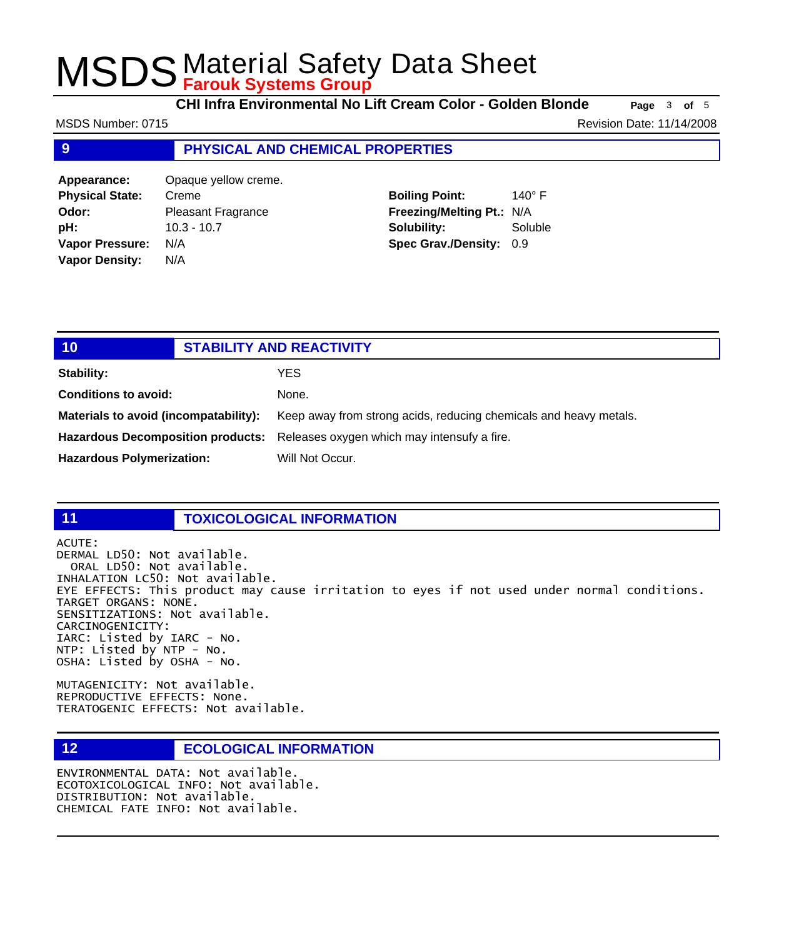**CHI Infra Environmental No Lift Cream Color - Golden Blonde Page** <sup>3</sup> **of** <sup>5</sup>

**9 PHYSICAL AND CHEMICAL PROPERTIES Appearance:** Opaque yellow creme. **Physica Boiling Point:** 140° F MSDS Number: 0715 **Revision Date: 11/14/2008** 

**Soluble** 

| <b>Physical State:</b> | Creme                     | <b>Boiling Point:</b>          | 140 |
|------------------------|---------------------------|--------------------------------|-----|
| Odor:                  | <b>Pleasant Fragrance</b> | Freezing/Melting Pt.: N/A      |     |
| pH:                    | $10.3 - 10.7$             | Solubility:                    | Sol |
| <b>Vapor Pressure:</b> | N/A                       | <b>Spec Grav./Density: 0.9</b> |     |
| <b>Vapor Density:</b>  | N/A                       |                                |     |

| 10                                       | <b>STABILITY AND REACTIVITY</b> |                                                                   |  |  |
|------------------------------------------|---------------------------------|-------------------------------------------------------------------|--|--|
| <b>Stability:</b>                        |                                 | <b>YES</b>                                                        |  |  |
| <b>Conditions to avoid:</b>              |                                 | None.                                                             |  |  |
| Materials to avoid (incompatability):    |                                 | Keep away from strong acids, reducing chemicals and heavy metals. |  |  |
| <b>Hazardous Decomposition products:</b> |                                 | Releases oxygen which may intensufy a fire.                       |  |  |
| <b>Hazardous Polymerization:</b>         |                                 | Will Not Occur.                                                   |  |  |

### **11 TOXICOLOGICAL INFORMATION**

ACUTE:

DERMAL LD50: Not available. ORAL LD50: Not available. INHALATION LC50: Not available. EYE EFFECTS: This product may cause irritation to eyes if not used under normal conditions. TARGET ORGANS: NONE. SENSITIZATIONS: Not available. CARCINOGENICITY: IARC: Listed by IARC - No. NTP: Listed by NTP - No. OSHA: Listed by OSHA - No.

MUTAGENICITY: Not available. REPRODUCTIVE EFFECTS: None. TERATOGENIC EFFECTS: Not available.

### **12 ECOLOGICAL INFORMATION**

ENVIRONMENTAL DATA: Not available. ECOTOXICOLOGICAL INFO: Not available. DISTRIBUTION: Not available. CHEMICAL FATE INFO: Not available.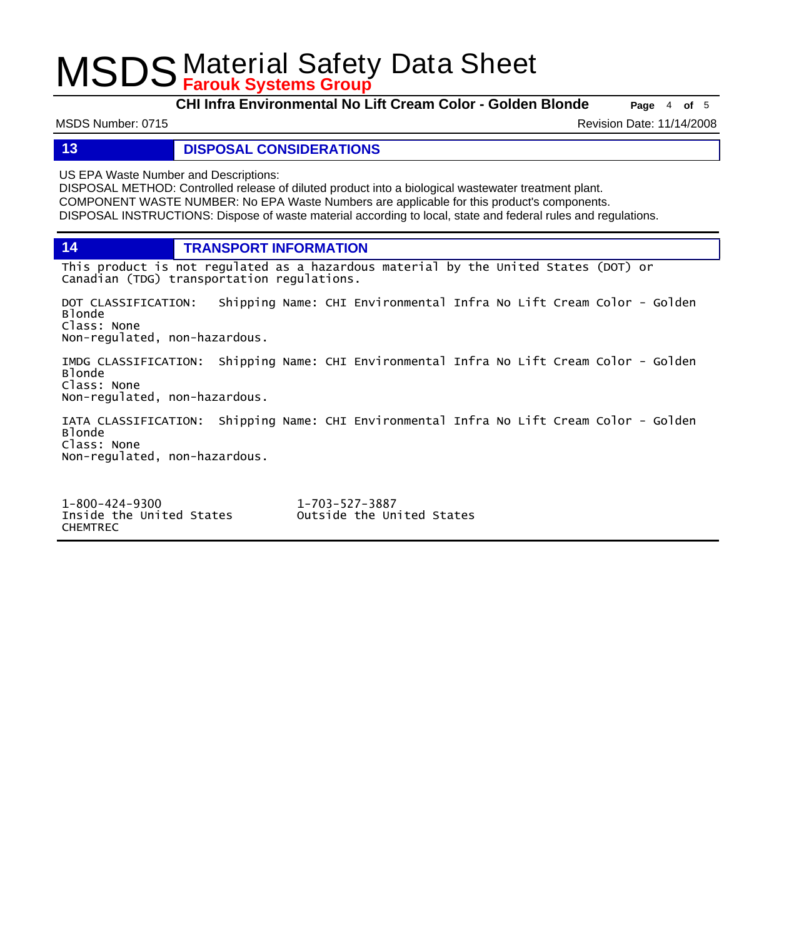**CHI Infra Environmental No Lift Cream Color - Golden Blonde Page** <sup>4</sup> **of** <sup>5</sup>

MSDS Number: 0715 **Revision Date: 11/14/2008** 

#### **13 DISPOSAL CONSIDERATIONS**

US EPA Waste Number and Descriptions:

DISPOSAL METHOD: Controlled release of diluted product into a biological wastewater treatment plant. COMPONENT WASTE NUMBER: No EPA Waste Numbers are applicable for this product's components. DISPOSAL INSTRUCTIONS: Dispose of waste material according to local, state and federal rules and regulations.

**14 TRANSPORT INFORMATION**

This product is not regulated as a hazardous material by the United States (DOT) or Canadian (TDG) transportation regulations.

DOT CLASSIFICATION: Shipping Name: CHI Environmental Infra No Lift Cream Color - Golden Blonde Class: None Non-regulated, non-hazardous.

IMDG CLASSIFICATION: Shipping Name: CHI Environmental Infra No Lift Cream Color - Golden Blonde Class: None Non-regulated, non-hazardous.

IATA CLASSIFICATION: Shipping Name: CHI Environmental Infra No Lift Cream Color - Golden Blonde Class: None Non-regulated, non-hazardous.

1-800-424-9300 1-703-527-3887 CHEMTREC

Outside the United States